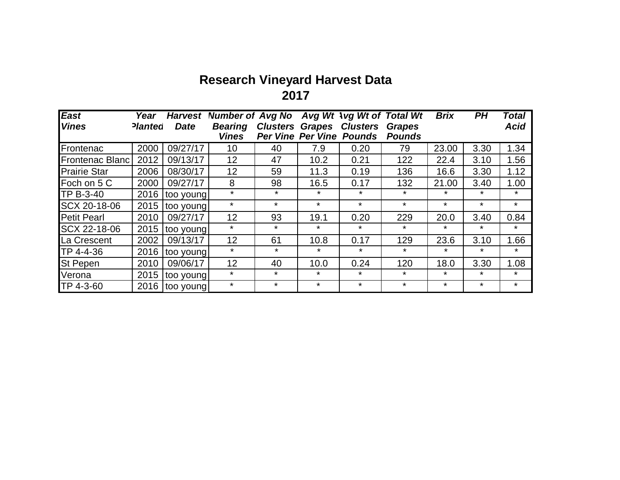## **Research Vineyard Harvest Data 2017**

| <b>East</b>         | Year           | <b>Harvest</b> | <b>Number of Avg No</b> |                 | Avg Wt        | <b>Avg Wt of Total Wt</b>       |               | <b>Brix</b> | PH      | Total       |
|---------------------|----------------|----------------|-------------------------|-----------------|---------------|---------------------------------|---------------|-------------|---------|-------------|
| <b>Vines</b>        | <b>Planted</b> | <b>Date</b>    | <b>Bearing</b>          | <b>Clusters</b> | <b>Grapes</b> | <b>Clusters</b>                 | <b>Grapes</b> |             |         | <b>Acid</b> |
|                     |                |                | <b>Vines</b>            |                 |               | <b>Per Vine Per Vine Pounds</b> | <b>Pounds</b> |             |         |             |
| Frontenac           | 2000           | 09/27/17       | 10                      | 40              | 7.9           | 0.20                            | 79            | 23.00       | 3.30    | 1.34        |
| Frontenac Blanc     | 2012           | 09/13/17       | 12                      | 47              | 10.2          | 0.21                            | 122           | 22.4        | 3.10    | 1.56        |
| <b>Prairie Star</b> | 2006           | 08/30/17       | 12                      | 59              | 11.3          | 0.19                            | 136           | 16.6        | 3.30    | 1.12        |
| Foch on 5 C         | 2000           | 09/27/17       | 8                       | 98              | 16.5          | 0.17                            | 132           | 21.00       | 3.40    | 1.00        |
| TP B-3-40           | 2016           | too young      | $\star$                 | $\star$         | $\star$       | $\star$                         | $\star$       | $\star$     | $\star$ | $\star$     |
| SCX 20-18-06        | 2015           | too young      | $\star$                 | $\star$         | $\star$       | $\star$                         | $\star$       | $\star$     | $\star$ | $\star$     |
| Petit Pearl         | 2010           | 09/27/17       | 12                      | 93              | 19.1          | 0.20                            | 229           | 20.0        | 3.40    | 0.84        |
| SCX 22-18-06        | 2015           | too young      | $\star$                 | $\star$         | $\star$       | $\star$                         | $\star$       | $\star$     | $\star$ | $\star$     |
| La Crescent         | 2002           | 09/13/17       | 12                      | 61              | 10.8          | 0.17                            | 129           | 23.6        | 3.10    | 1.66        |
| TP 4-4-36           | 2016           | too young      | $\star$                 | $\star$         | $\star$       | $\star$                         | $\star$       | $\star$     | $\star$ | $\star$     |
| <b>St Pepen</b>     | 2010           | 09/06/17       | 12                      | 40              | 10.0          | 0.24                            | 120           | 18.0        | 3.30    | 1.08        |
| Verona              | 2015           | too young      | $\star$                 | $\star$         | $\star$       | $\star$                         | $\ast$        | $\star$     | $\star$ | $\star$     |
| TP 4-3-60           | 2016           | too young      | $\star$                 | $\star$         | $\star$       | $\star$                         | $\star$       | *           | $\star$ | $\star$     |